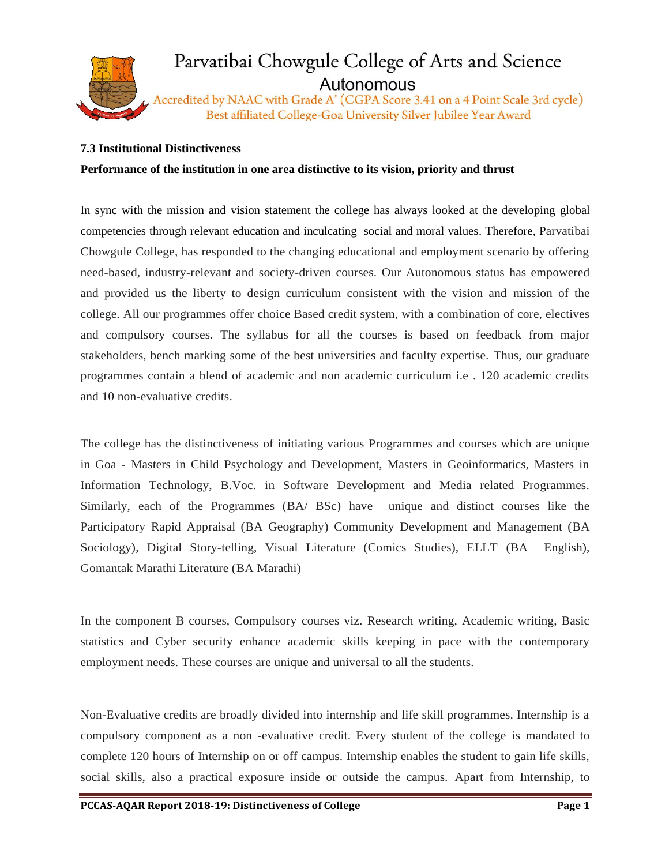

## Parvatibai Chowgule College of Arts and Science Autonomous

Accredited by NAAC with Grade A' (CGPA Score 3.41 on a 4 Point Scale 3rd cycle) Best affiliated College-Goa University Silver Jubilee Year Award

## **7.3 Institutional Distinctiveness**

## **Performance of the institution in one area distinctive to its vision, priority and thrust**

In sync with the mission and vision statement the college has always looked at the developing global competencies through relevant education and inculcating social and moral values. Therefore, Parvatibai Chowgule College, has responded to the changing educational and employment scenario by offering need-based, industry-relevant and society-driven courses. Our Autonomous status has empowered and provided us the liberty to design curriculum consistent with the vision and mission of the college. All our programmes offer choice Based credit system, with a combination of core, electives and compulsory courses. The syllabus for all the courses is based on feedback from major stakeholders, bench marking some of the best universities and faculty expertise. Thus, our graduate programmes contain a blend of academic and non academic curriculum i.e . 120 academic credits and 10 non-evaluative credits.

The college has the distinctiveness of initiating various Programmes and courses which are unique in Goa - Masters in Child Psychology and Development, Masters in Geoinformatics, Masters in Information Technology, B.Voc. in Software Development and Media related Programmes. Similarly, each of the Programmes (BA/ BSc) have unique and distinct courses like the Participatory Rapid Appraisal (BA Geography) Community Development and Management (BA Sociology), Digital Story-telling, Visual Literature (Comics Studies), ELLT (BA English), Gomantak Marathi Literature (BA Marathi)

In the component B courses, Compulsory courses viz. Research writing, Academic writing, Basic statistics and Cyber security enhance academic skills keeping in pace with the contemporary employment needs. These courses are unique and universal to all the students.

Non-Evaluative credits are broadly divided into internship and life skill programmes. Internship is a compulsory component as a non -evaluative credit. Every student of the college is mandated to complete 120 hours of Internship on or off campus. Internship enables the student to gain life skills, social skills, also a practical exposure inside or outside the campus. Apart from Internship, to